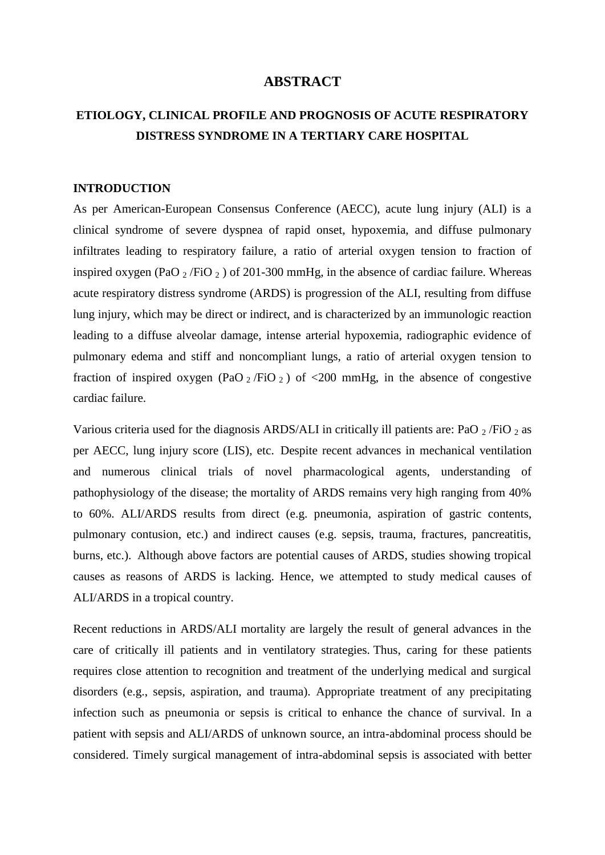## **ABSTRACT**

# **ETIOLOGY, CLINICAL PROFILE AND PROGNOSIS OF ACUTE RESPIRATORY DISTRESS SYNDROME IN A TERTIARY CARE HOSPITAL**

#### **INTRODUCTION**

As per American-European Consensus Conference (AECC), acute lung injury (ALI) is a clinical syndrome of severe dyspnea of rapid onset, hypoxemia, and diffuse pulmonary infiltrates leading to respiratory failure, a ratio of arterial oxygen tension to fraction of inspired oxygen (PaO  $_2$  /FiO  $_2$  ) of 201-300 mmHg, in the absence of cardiac failure. Whereas acute respiratory distress syndrome (ARDS) is progression of the ALI, resulting from diffuse lung injury, which may be direct or indirect, and is characterized by an immunologic reaction leading to a diffuse alveolar damage, intense arterial hypoxemia, radiographic evidence of pulmonary edema and stiff and noncompliant lungs, a ratio of arterial oxygen tension to fraction of inspired oxygen (PaO  $_2$  /FiO  $_2$  ) of <200 mmHg, in the absence of congestive cardiac failure.

Various criteria used for the diagnosis ARDS/ALI in critically ill patients are: PaO  $_2$ /FiO  $_2$  as per AECC, lung injury score (LIS), etc. Despite recent advances in mechanical ventilation and numerous clinical trials of novel pharmacological agents, understanding of pathophysiology of the disease; the mortality of ARDS remains very high ranging from 40% to 60%. ALI/ARDS results from direct (e.g. pneumonia, aspiration of gastric contents, pulmonary contusion, etc.) and indirect causes (e.g. sepsis, trauma, fractures, pancreatitis, burns, etc.). Although above factors are potential causes of ARDS, studies showing tropical causes as reasons of ARDS is lacking. Hence, we attempted to study medical causes of ALI/ARDS in a tropical country.

Recent reductions in ARDS/ALI mortality are largely the result of general advances in the care of critically ill patients and in ventilatory strategies. Thus, caring for these patients requires close attention to recognition and treatment of the underlying medical and surgical disorders (e.g., sepsis, aspiration, and trauma). Appropriate treatment of any precipitating infection such as pneumonia or sepsis is critical to enhance the chance of survival. In a patient with sepsis and ALI/ARDS of unknown source, an intra-abdominal process should be considered. Timely surgical management of intra-abdominal sepsis is associated with better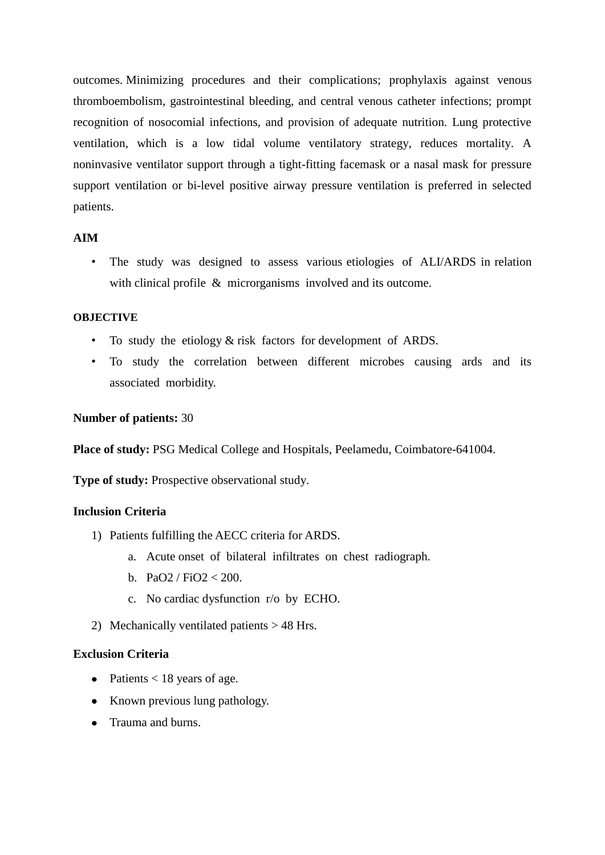outcomes. Minimizing procedures and their complications; prophylaxis against venous thromboembolism, gastrointestinal bleeding, and central venous catheter infections; prompt recognition of nosocomial infections, and provision of adequate nutrition. Lung protective ventilation, which is a low tidal volume ventilatory strategy, reduces mortality. A noninvasive ventilator support through a tight-fitting facemask or a nasal mask for pressure support ventilation or bi-level positive airway pressure ventilation is preferred in selected patients.

# **AIM**

• The study was designed to assess various etiologies of ALI/ARDS in relation with clinical profile & microrganisms involved and its outcome.

# **OBJECTIVE**

- To study the etiology & risk factors for development of ARDS.
- To study the correlation between different microbes causing ards and its associated morbidity.

# **Number of patients:** 30

**Place of study:** PSG Medical College and Hospitals, Peelamedu, Coimbatore-641004.

**Type of study:** Prospective observational study.

## **Inclusion Criteria**

- 1) Patients fulfilling the AECC criteria for ARDS.
	- a. Acute onset of bilateral infiltrates on chest radiograph.
	- b.  $PaO2 / FiO2 < 200$ .
	- c. No cardiac dysfunction r/o by ECHO.
- 2) Mechanically ventilated patients > 48 Hrs.

## **Exclusion Criteria**

- Patients  $<$  18 years of age.
- Known previous lung pathology.
- **•** Trauma and burns.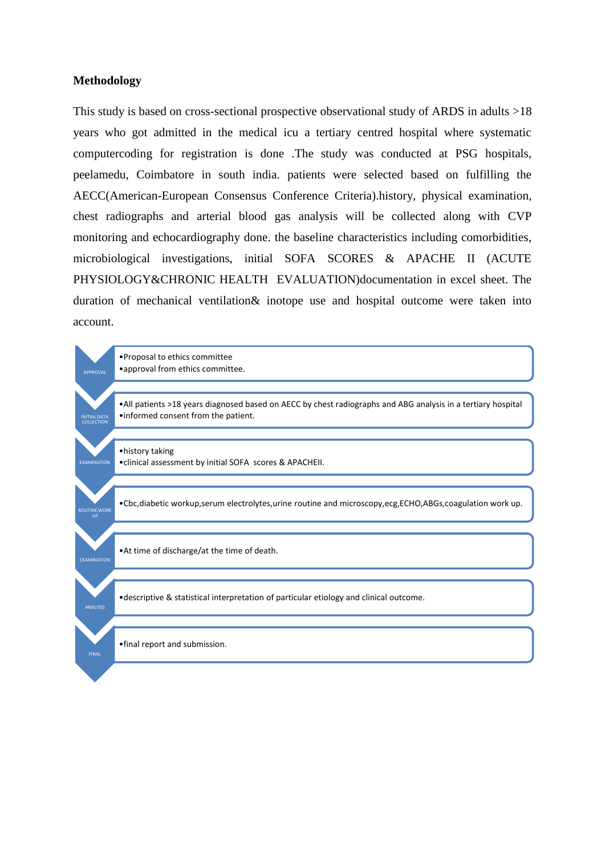## **Methodology**

This study is based on cross-sectional prospective observational study of ARDS in adults >18 years who got admitted in the medical icu a tertiary centred hospital where systematic computercoding for registration is done .The study was conducted at PSG hospitals, peelamedu, Coimbatore in south india. patients were selected based on fulfilling the AECC(American-European Consensus Conference Criteria).history, physical examination, chest radiographs and arterial blood gas analysis will be collected along with CVP monitoring and echocardiography done. the baseline characteristics including comorbidities, microbiological investigations, initial SOFA SCORES & APACHE II (ACUTE PHYSIOLOGY&CHRONIC HEALTH EVALUATION)documentation in excel sheet. The duration of mechanical ventilation& inotope use and hospital outcome were taken into account.